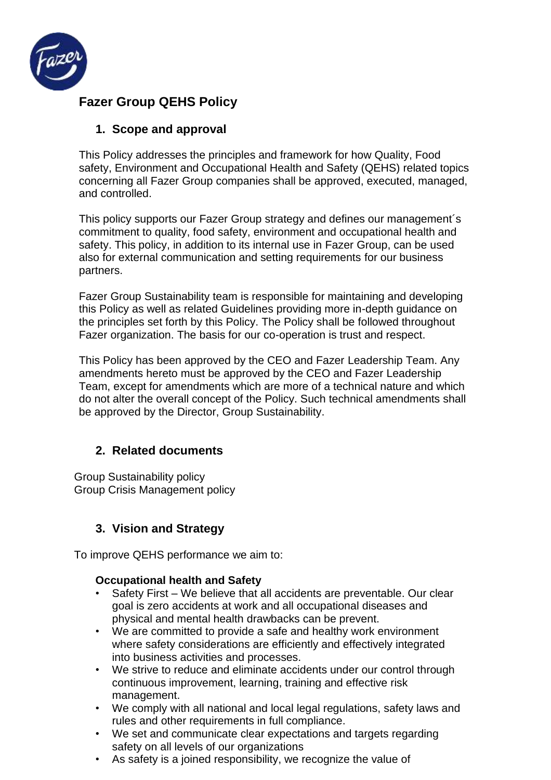

# **Fazer Group QEHS Policy**

## **1. Scope and approval**

This Policy addresses the principles and framework for how Quality, Food safety, Environment and Occupational Health and Safety (QEHS) related topics concerning all Fazer Group companies shall be approved, executed, managed, and controlled.

This policy supports our Fazer Group strategy and defines our management´s commitment to quality, food safety, environment and occupational health and safety. This policy, in addition to its internal use in Fazer Group, can be used also for external communication and setting requirements for our business partners.

Fazer Group Sustainability team is responsible for maintaining and developing this Policy as well as related Guidelines providing more in-depth guidance on the principles set forth by this Policy. The Policy shall be followed throughout Fazer organization. The basis for our co-operation is trust and respect.

This Policy has been approved by the CEO and Fazer Leadership Team. Any amendments hereto must be approved by the CEO and Fazer Leadership Team, except for amendments which are more of a technical nature and which do not alter the overall concept of the Policy. Such technical amendments shall be approved by the Director, Group Sustainability.

### **2. Related documents**

Group Sustainability policy Group Crisis Management policy

## **3. Vision and Strategy**

To improve QEHS performance we aim to:

### **Occupational health and Safety**

- Safety First We believe that all accidents are preventable. Our clear goal is zero accidents at work and all occupational diseases and physical and mental health drawbacks can be prevent.
- We are committed to provide a safe and healthy work environment where safety considerations are efficiently and effectively integrated into business activities and processes.
- We strive to reduce and eliminate accidents under our control through continuous improvement, learning, training and effective risk management.
- We comply with all national and local legal regulations, safety laws and rules and other requirements in full compliance.
- We set and communicate clear expectations and targets regarding safety on all levels of our organizations
- As safety is a joined responsibility, we recognize the value of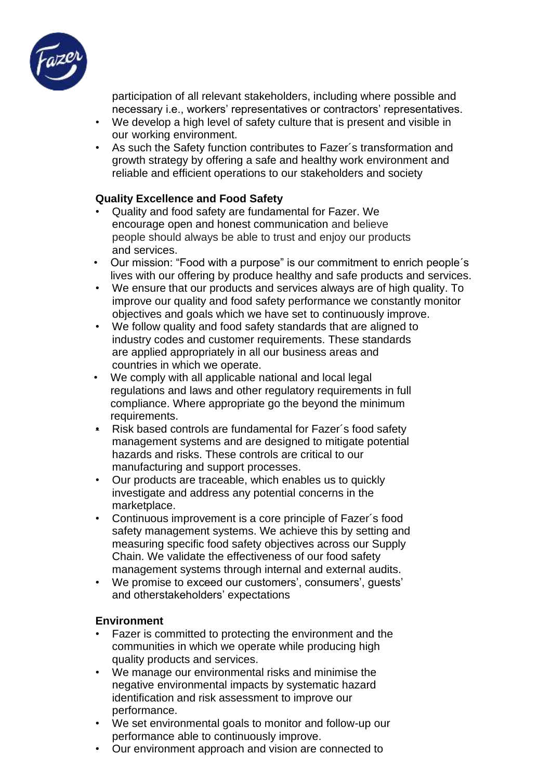

participation of all relevant stakeholders, including where possible and necessary i.e., workers' representatives or contractors' representatives.

- We develop a high level of safety culture that is present and visible in our working environment.
- As such the Safety function contributes to Fazer´s transformation and growth strategy by offering a safe and healthy work environment and reliable and efficient operations to our stakeholders and society

### **Quality Excellence and Food Safety**

- Quality and food safety are fundamental for Fazer. We encourage open and honest communication and believe people should always be able to trust and enjoy our products and services.
- Our mission: "Food with a purpose" is our commitment to enrich people´s lives with our offering by produce healthy and safe products and services.
- We ensure that our products and services always are of high quality. To improve our quality and food safety performance we constantly monitor objectives and goals which we have set to continuously improve.
- We follow quality and food safety standards that are aligned to industry codes and customer requirements. These standards are applied appropriately in all our business areas and countries in which we operate.
- We comply with all applicable national and local legal regulations and laws and other regulatory requirements in full compliance. Where appropriate go the beyond the minimum requirements.
- Risk based controls are fundamental for Fazer´s food safety management systems and are designed to mitigate potential hazards and risks. These controls are critical to our manufacturing and support processes.
- Our products are traceable, which enables us to quickly investigate and address any potential concerns in the marketplace.
- Continuous improvement is a core principle of Fazer´s food safety management systems. We achieve this by setting and measuring specific food safety objectives across our Supply Chain. We validate the effectiveness of our food safety management systems through internal and external audits.
- We promise to exceed our customers', consumers', guests' and otherstakeholders' expectations

### **Environment**

- Fazer is committed to protecting the environment and the communities in which we operate while producing high quality products and services.
- We manage our environmental risks and minimise the negative environmental impacts by systematic hazard identification and risk assessment to improve our performance.
- We set environmental goals to monitor and follow-up our performance able to continuously improve.
- Our environment approach and vision are connected to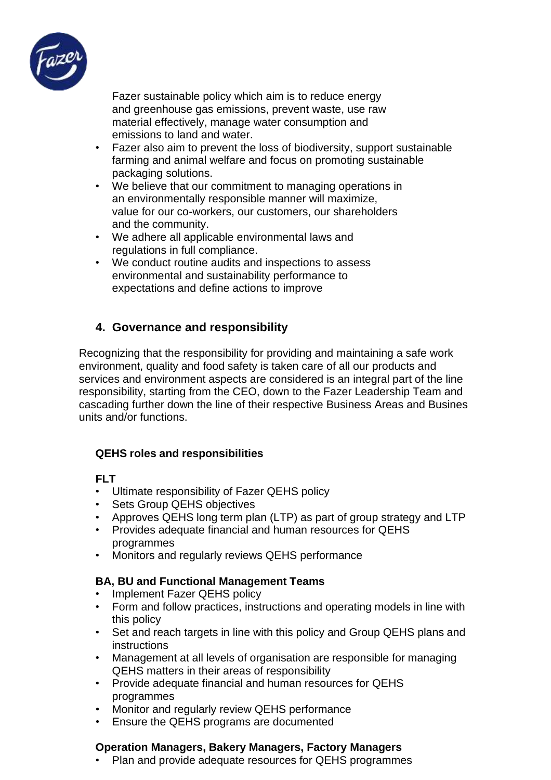

Fazer sustainable policy which aim is to reduce energy and greenhouse gas emissions, prevent waste, use raw material effectively, manage water consumption and emissions to land and water.

- Fazer also aim to prevent the loss of biodiversity, support sustainable farming and animal welfare and focus on promoting sustainable packaging solutions.
- We believe that our commitment to managing operations in an environmentally responsible manner will maximize, value for our co-workers, our customers, our shareholders and the community.
- We adhere all applicable environmental laws and regulations in full compliance.
- We conduct routine audits and inspections to assess environmental and sustainability performance to expectations and define actions to improve

## **4. Governance and responsibility**

Recognizing that the responsibility for providing and maintaining a safe work environment, quality and food safety is taken care of all our products and services and environment aspects are considered is an integral part of the line responsibility, starting from the CEO, down to the Fazer Leadership Team and cascading further down the line of their respective Business Areas and Busines units and/or functions.

### **QEHS roles and responsibilities**

### **FLT**

- Ultimate responsibility of Fazer QEHS policy
- Sets Group QEHS objectives
- Approves QEHS long term plan (LTP) as part of group strategy and LTP
- Provides adequate financial and human resources for QEHS programmes
- Monitors and regularly reviews QEHS performance

### **BA, BU and Functional Management Teams**

- Implement Fazer QEHS policy
- Form and follow practices, instructions and operating models in line with this policy
- Set and reach targets in line with this policy and Group QEHS plans and instructions
- Management at all levels of organisation are responsible for managing QEHS matters in their areas of responsibility
- Provide adequate financial and human resources for QEHS programmes
- Monitor and regularly review QEHS performance
- Ensure the QEHS programs are documented

### **Operation Managers, Bakery Managers, Factory Managers**

• Plan and provide adequate resources for QEHS programmes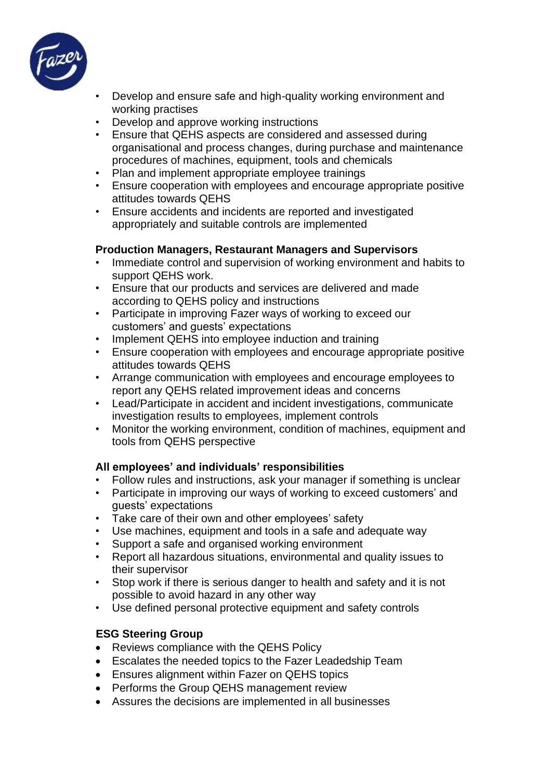

- Develop and ensure safe and high-quality working environment and working practises
- Develop and approve working instructions
- Ensure that QEHS aspects are considered and assessed during organisational and process changes, during purchase and maintenance procedures of machines, equipment, tools and chemicals
- Plan and implement appropriate employee trainings
- Ensure cooperation with employees and encourage appropriate positive attitudes towards QEHS
- Ensure accidents and incidents are reported and investigated appropriately and suitable controls are implemented

#### **Production Managers, Restaurant Managers and Supervisors**

- Immediate control and supervision of working environment and habits to support QEHS work.
- Ensure that our products and services are delivered and made according to QEHS policy and instructions
- Participate in improving Fazer ways of working to exceed our customers' and guests' expectations
- Implement QEHS into employee induction and training
- Ensure cooperation with employees and encourage appropriate positive attitudes towards QEHS
- Arrange communication with employees and encourage employees to report any QEHS related improvement ideas and concerns
- Lead/Participate in accident and incident investigations, communicate investigation results to employees, implement controls
- Monitor the working environment, condition of machines, equipment and tools from QEHS perspective

### **All employees' and individuals' responsibilities**

- Follow rules and instructions, ask your manager if something is unclear
- Participate in improving our ways of working to exceed customers' and guests' expectations
- Take care of their own and other employees' safety
- Use machines, equipment and tools in a safe and adequate way
- Support a safe and organised working environment
- Report all hazardous situations, environmental and quality issues to their supervisor
- Stop work if there is serious danger to health and safety and it is not possible to avoid hazard in any other way
- Use defined personal protective equipment and safety controls

### **ESG Steering Group**

- Reviews compliance with the QEHS Policy
- Escalates the needed topics to the Fazer Leadedship Team
- Ensures alignment within Fazer on QEHS topics
- Performs the Group QEHS management review
- Assures the decisions are implemented in all businesses